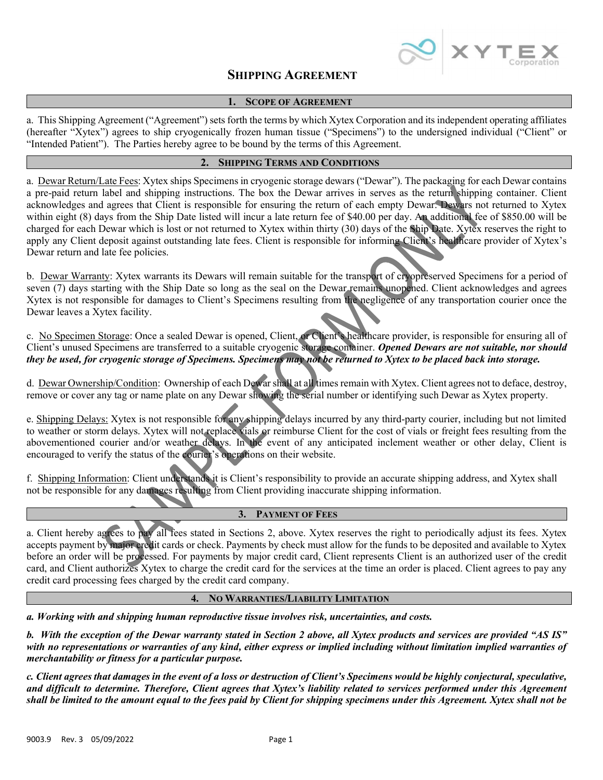

# SHIPPING AGREEMENT

### 1. SCOPE OF AGREEMENT

a. This Shipping Agreement ("Agreement") sets forth the terms by which Xytex Corporation and its independent operating affiliates (hereafter "Xytex") agrees to ship cryogenically frozen human tissue ("Specimens") to the undersigned individual ("Client" or "Intended Patient"). The Parties hereby agree to be bound by the terms of this Agreement.

## 2. SHIPPING TERMS AND CONDITIONS

a. Dewar Return/Late Fees: Xytex ships Specimens in cryogenic storage dewars ("Dewar"). The packaging for each Dewar contains a pre-paid return label and shipping instructions. The box the Dewar arrives in serves as the return shipping container. Client acknowledges and agrees that Client is responsible for ensuring the return of each empty Dewar. Dewars not returned to Xytex within eight (8) days from the Ship Date listed will incur a late return fee of \$40.00 per day. An additional fee of \$850.00 will be charged for each Dewar which is lost or not returned to Xytex within thirty (30) days of the Ship Date. Xytex reserves the right to apply any Client deposit against outstanding late fees. Client is responsible for informing Client's healthcare provider of Xytex's Dewar return and late fee policies.

b. Dewar Warranty: Xytex warrants its Dewars will remain suitable for the transport of cryopreserved Specimens for a period of seven (7) days starting with the Ship Date so long as the seal on the Dewar remains unopened. Client acknowledges and agrees Xytex is not responsible for damages to Client's Specimens resulting from the negligence of any transportation courier once the Dewar leaves a Xytex facility.

c. No Specimen Storage: Once a sealed Dewar is opened, Client, or Client's healthcare provider, is responsible for ensuring all of Client's unused Specimens are transferred to a suitable cryogenic storage container. Opened Dewars are not suitable, nor should they be used, for cryogenic storage of Specimens. Specimens may not be returned to Xytex to be placed back into storage.

d. Dewar Ownership/Condition: Ownership of each Dewar shall at all times remain with Xytex. Client agrees not to deface, destroy, remove or cover any tag or name plate on any Dewar showing the serial number or identifying such Dewar as Xytex property.

e. Shipping Delays: Xytex is not responsible for any shipping delays incurred by any third-party courier, including but not limited to weather or storm delays. Xytex will not replace vials or reimburse Client for the cost of vials or freight fees resulting from the abovementioned courier and/or weather delays. In the event of any anticipated inclement weather or other delay, Client is encouraged to verify the status of the courier's operations on their website.

f. Shipping Information: Client understands it is Client's responsibility to provide an accurate shipping address, and Xytex shall not be responsible for any damages resulting from Client providing inaccurate shipping information.

## 3. PAYMENT OF FEES

a. Client hereby agrees to pay all fees stated in Sections 2, above. Xytex reserves the right to periodically adjust its fees. Xytex accepts payment by major credit cards or check. Payments by check must allow for the funds to be deposited and available to Xytex before an order will be processed. For payments by major credit card, Client represents Client is an authorized user of the credit card, and Client authorizes Xytex to charge the credit card for the services at the time an order is placed. Client agrees to pay any credit card processing fees charged by the credit card company.

### 4. NO WARRANTIES/LIABILITY LIMITATION

a. Working with and shipping human reproductive tissue involves risk, uncertainties, and costs.

b. With the exception of the Dewar warranty stated in Section 2 above, all Xytex products and services are provided "AS IS" with no representations or warranties of any kind, either express or implied including without limitation implied warranties of merchantability or fitness for a particular purpose.

c. Client agrees that damages in the event of a loss or destruction of Client's Specimens would be highly conjectural, speculative, and difficult to determine. Therefore, Client agrees that Xytex's liability related to services performed under this Agreement shall be limited to the amount equal to the fees paid by Client for shipping specimens under this Agreement. Xytex shall not be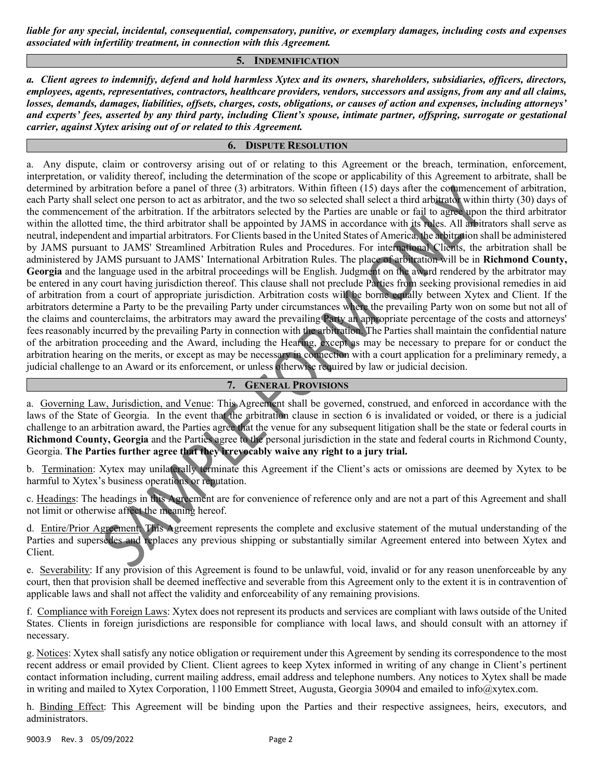liable for any special, incidental, consequential, compensatory, punitive, or exemplary damages, including costs and expenses associated with infertility treatment, in connection with this Agreement.

### 5. INDEMNIFICATION

a. Client agrees to indemnify, defend and hold harmless Xytex and its owners, shareholders, subsidiaries, officers, directors, employees, agents, representatives, contractors, healthcare providers, vendors, successors and assigns, from any and all claims, losses, demands, damages, liabilities, offsets, charges, costs, obligations, or causes of action and expenses, including attorneys' and experts' fees, asserted by any third party, including Client's spouse, intimate partner, offspring, surrogate or gestational carrier, against Xytex arising out of or related to this Agreement.

## 6. DISPUTE RESOLUTION

a. Any dispute, claim or controversy arising out of or relating to this Agreement or the breach, termination, enforcement, interpretation, or validity thereof, including the determination of the scope or applicability of this Agreement to arbitrate, shall be determined by arbitration before a panel of three (3) arbitrators. Within fifteen (15) days after the commencement of arbitration, each Party shall select one person to act as arbitrator, and the two so selected shall select a third arbitrator within thirty (30) days of the commencement of the arbitration. If the arbitrators selected by the Parties are unable or fail to agree upon the third arbitrator within the allotted time, the third arbitrator shall be appointed by JAMS in accordance with its rules. All arbitrators shall serve as neutral, independent and impartial arbitrators. For Clients based in the United States of America, the arbitration shall be administered by JAMS pursuant to JAMS' Streamlined Arbitration Rules and Procedures. For international Clients, the arbitration shall be administered by JAMS pursuant to JAMS' International Arbitration Rules. The place of arbitration will be in Richmond County, Georgia and the language used in the arbitral proceedings will be English. Judgment on the award rendered by the arbitrator may be entered in any court having jurisdiction thereof. This clause shall not preclude Parties from seeking provisional remedies in aid of arbitration from a court of appropriate jurisdiction. Arbitration costs will be borne equally between Xytex and Client. If the arbitrators determine a Party to be the prevailing Party under circumstances where the prevailing Party won on some but not all of the claims and counterclaims, the arbitrators may award the prevailing Party an appropriate percentage of the costs and attorneys' fees reasonably incurred by the prevailing Party in connection with the arbitration. The Parties shall maintain the confidential nature of the arbitration proceeding and the Award, including the Hearing, except as may be necessary to prepare for or conduct the arbitration hearing on the merits, or except as may be necessary in connection with a court application for a preliminary remedy, a judicial challenge to an Award or its enforcement, or unless otherwise required by law or judicial decision.

# 7. GENERAL PROVISIONS

a. Governing Law, Jurisdiction, and Venue: This Agreement shall be governed, construed, and enforced in accordance with the laws of the State of Georgia. In the event that the arbitration clause in section 6 is invalidated or voided, or there is a judicial challenge to an arbitration award, the Parties agree that the venue for any subsequent litigation shall be the state or federal courts in Richmond County, Georgia and the Parties agree to the personal jurisdiction in the state and federal courts in Richmond County, Georgia. The Parties further agree that they irrevocably waive any right to a jury trial.

b. Termination: Xytex may unilaterally terminate this Agreement if the Client's acts or omissions are deemed by Xytex to be harmful to Xytex's business operations or reputation.

c. Headings: The headings in this Agreement are for convenience of reference only and are not a part of this Agreement and shall not limit or otherwise affect the meaning hereof.

d. Entire/Prior Agreement: This Agreement represents the complete and exclusive statement of the mutual understanding of the Parties and supersedes and replaces any previous shipping or substantially similar Agreement entered into between Xytex and Client.

e. Severability: If any provision of this Agreement is found to be unlawful, void, invalid or for any reason unenforceable by any court, then that provision shall be deemed ineffective and severable from this Agreement only to the extent it is in contravention of applicable laws and shall not affect the validity and enforceability of any remaining provisions.

f. Compliance with Foreign Laws: Xytex does not represent its products and services are compliant with laws outside of the United States. Clients in foreign jurisdictions are responsible for compliance with local laws, and should consult with an attorney if necessary.

g. Notices: Xytex shall satisfy any notice obligation or requirement under this Agreement by sending its correspondence to the most recent address or email provided by Client. Client agrees to keep Xytex informed in writing of any change in Client's pertinent contact information including, current mailing address, email address and telephone numbers. Any notices to Xytex shall be made in writing and mailed to Xytex Corporation, 1100 Emmett Street, Augusta, Georgia 30904 and emailed to info@xytex.com.

h. Binding Effect: This Agreement will be binding upon the Parties and their respective assignees, heirs, executors, and administrators.